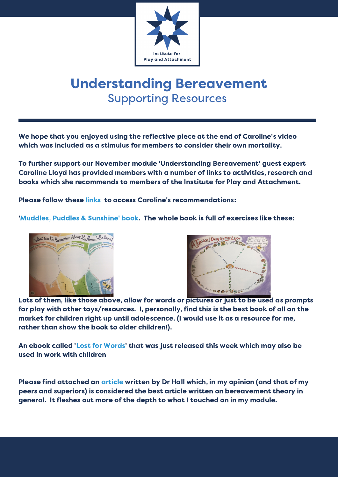

## Understanding Bereavement Supporting Resources

We hope that you enjoyed using the reflective piece at the end of Caroline's video which was included as a stimulus for members to consider their own mortality.

To further support our November module 'Understanding Bereavement' guest expert Caroline Lloyd has provided members with a number of links to activities, research and books which she recommends to members of the Institute for Play and Attachment.

Please follow these links to access Caroline's recommendations:

'Muddles, Puddles & Sunshine' book. The whole book is full of exercises like these:





Lots of them, like those above, allow for words or pictures or just to be used as prompts for play with other [toys/resources.](https://www.clear-sky.org.uk/wp-content/uploads/2019/11/Bereavement-theory-recent-developments-in-our-understanding-of-grief-and-bereavement.pdf) I, personally, find this is the best book of all on the market for children right up until adolescence. (I would use it as a resource for me, rather than show the book to older children!).

An ebook called 'Lost for Words' that was just released this week which may also be used in work with children

Please find attached an article written by Dr Hall which, in my opinion (and that of my peers and superiors) is considered the best article written on bereavement theory in general. It fleshes out more of the depth to what I touched on in my module.